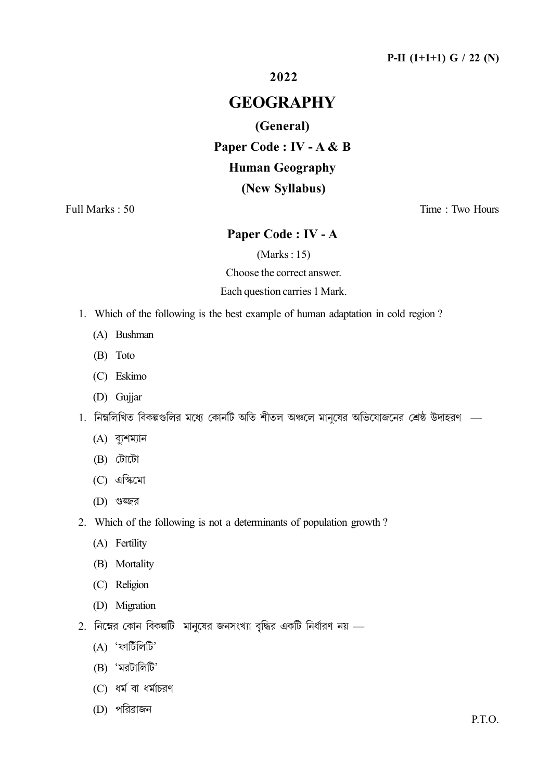2022

# **GEOGRAPHY**

## (General)

# Paper Code : IV - A & B

# **Human Geography**

## (New Syllabus)

Full Marks: 50

Time: Two Hours

# Paper Code: IV - A

 $(Marks: 15)$ 

Choose the correct answer.

#### Each question carries 1 Mark.

- 1. Which of the following is the best example of human adaptation in cold region?
	- (A) Bushman
	- (B) Toto
	- (C) Eskimo
	- (D) Gujjar
- 1. নিম্নলিখিত বিকল্পগুলির মধ্যে কোনটি অতি শীতল অঞ্চলে মানষের অভিযোজনের শ্রেষ্ঠ উদাহরণ
	- $(A)$  ব্যুশম্যান
	- (B) টোটো
	- $(C)$  এস্কিমো
	- $(D)$  গুজ্জর
- 2. Which of the following is not a determinants of population growth?
	- (A) Fertility
	- (B) Mortality
	- (C) Religion
	- (D) Migration
- 2. নিম্নের কোন বিকল্পটি মানষের জনসংখ্যা বৃদ্ধির একটি নির্ধারণ নয়
	- $(A)$  'ফার্টিলিটি'
	- $(B)$  'মরটালিটি'
	- $(C)$  ধর্ম বা ধর্মাচরণ
	- (D) পরিব্রাজন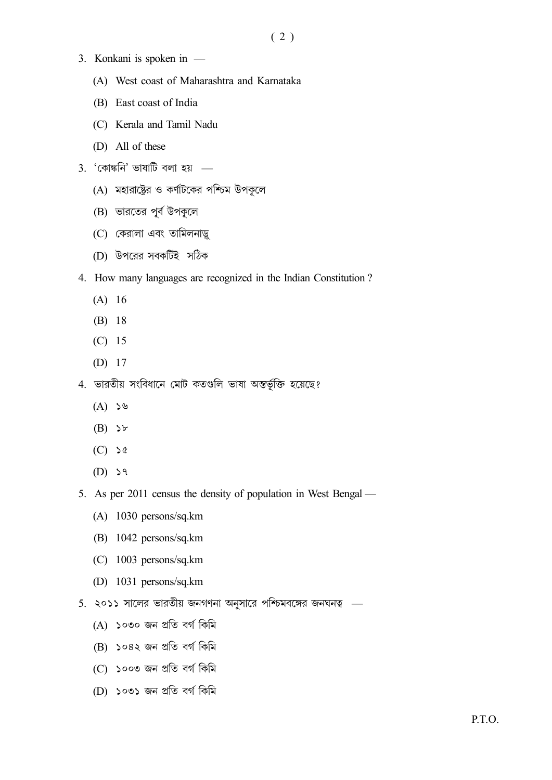- 3. Konkani is spoken in -
	- (A) West coast of Maharashtra and Karnataka
	- (B) East coast of India
	- (C) Kerala and Tamil Nadu
	- (D) All of these
- $3.$  'কোষ্কনি' ভাষাটি বলা হয়
	- $(A)$  মহারাষ্ট্রের ও কর্ণাটকের পশ্চিম উপকূলে
	- (B) ভারতের পূর্ব উপকূলে
	- (C) কেরালা এবং তামিলনাড়ু
	- (D) উপরের সবকটিই সঠিক
- 4. How many languages are recognized in the Indian Constitution?
	- $(A) 16$
	- $(B) 18$
	- $(C) 15$
	- $(D)$  17
- 4. ভারতীয় সংবিধানে মোট কতগুলি ভাষা অন্তর্ভূক্তি হয়েছে?
	- $(A)$  ১৬
	- $(B)$   $\forall$
	- $(C)$  >  $\&$
	- $(D)$   $\geq 9$
- 5. As per 2011 census the density of population in West Bengal
	- $(A)$  1030 persons/sq.km
	- $(B)$  1042 persons/sq.km
	- $(C)$  1003 persons/sq.km
	- (D)  $1031$  persons/sq.km
- 5. ২০১১ সালের ভারতীয় জনগণনা অনুসারে পশ্চিমবঙ্গের জনঘনত্ব
	- (A) ১০৩০ জন প্ৰতি বৰ্গ কিমি
	- (B) ১০৪২ জন প্ৰতি বৰ্গ কিমি
	- (C) ১০০৩ জন প্ৰতি বৰ্গ কিমি
	- (D) ১০৩১ জন প্ৰতি বৰ্গ কিমি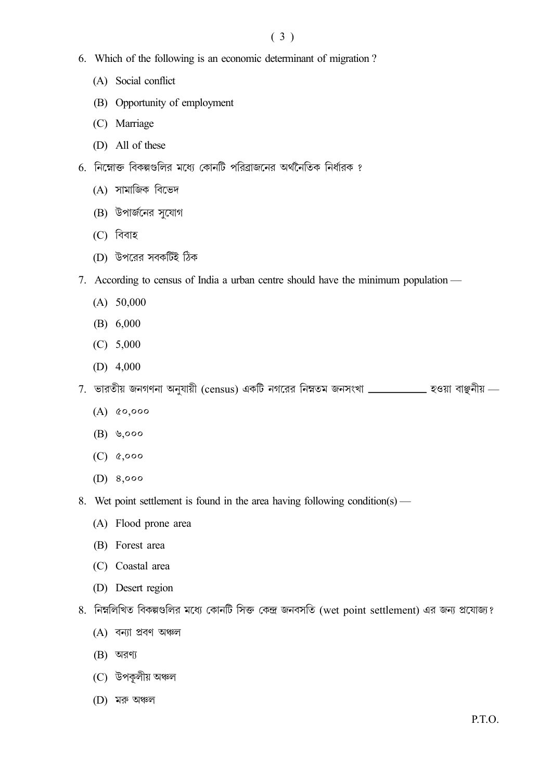## $(3)$

- 6. Which of the following is an economic determinant of migration?
	- (A) Social conflict
	- (B) Opportunity of employment
	- (C) Marriage
	- (D) All of these
- 6. নিম্নোক্ত বিকল্পগুলির মধ্যে কোনটি পরিব্রাজনের অর্থনৈতিক নির্ধারক ?
	- (A) সামাজিক বিভেদ
	- (B) উপার্জনের সুযোগ
	- (C) বিবাহ
	- (D) উপরের সবকটিই ঠিক
- 7. According to census of India a urban centre should have the minimum population
	- $(A)$  50,000
	- $(B) 6,000$
	- $(C) 5,000$
	- (D)  $4,000$
- $7.$  ভারতীয় জনগণনা অনুযায়ী (census) একটি নগরের নিম্নতম জনসংখা \_\_\_\_\_\_\_\_\_\_\_\_ হওয়া বাঞ্জনীয় \_\_
	- $(A)$   $&0,000$
	- $(B)$  **9,000**
	- $(C)$   $&0.000$
	- (D)  $8,000$
- 8. Wet point settlement is found in the area having following condition(s)
	- (A) Flood prone area
	- (B) Forest area
	- (C) Coastal area
	- (D) Desert region
- 8. নিম্নলিখিত বিকল্পগুলির মধ্যে কোনটি সিক্ত কেন্দ্র জনবসতি (wet point settlement) এর জন্য প্রযোজ্য?
	- $(A)$  বন্যা প্ৰবণ অঞ্চল
	- $(B)$  অরণ্য
	- (C) উপকূলীয় অঞ্চল
	- $(D)$  মরু অঞ্চল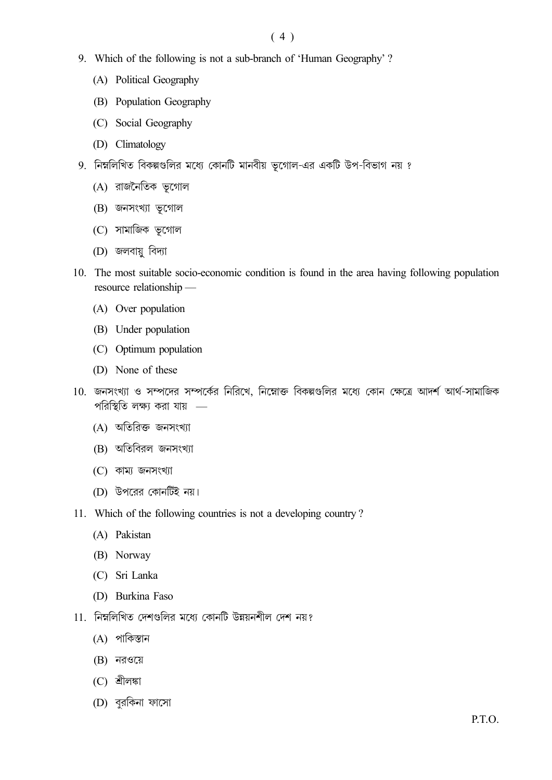## $(4)$

- 9. Which of the following is not a sub-branch of 'Human Geography'?
	- (A) Political Geography
	- (B) Population Geography
	- (C) Social Geography
	- (D) Climatology
- 9. নিম্নলিখিত বিকল্পগুলির মধ্যে কোনটি মানবীয় ভূগোল-এর একটি উপ-বিভাগ নয় ?
	- (A) রাজনৈতিক ভূগোল
	- $(B)$  জনসংখ্যা ভূগোল
	- (C) সামাজিক ভূগোল
	- (D) জলবায়ু বিদ্যা
- 10. The most suitable socio-economic condition is found in the area having following population resource relationship -
	- (A) Over population
	- (B) Under population
	- (C) Optimum population
	- (D) None of these
- 10. জনসংখ্যা ও সম্পদের সম্পর্কের নিরিখে, নিম্নোক্ত বিকল্পগুলির মধ্যে কোন ক্ষেত্রে আদর্শ আর্থ-সামাজিক পরিস্থিতি লক্ষ্য করা যায় –
	- (A) অতিরিক্ত জনসংখ্যা
	- (B) অতিবিরল জনসংখ্যা
	- $(C)$  কাম্য জনসংখ্যা
	- (D) উপরের কোনটিই নয়।
- 11. Which of the following countries is not a developing country?
	- (A) Pakistan
	- (B) Norway
	- (C) Sri Lanka
	- (D) Burkina Faso
- 11. নিম্নলিখিত দেশগুলির মধ্যে কোনটি উন্নয়নশীল দেশ নয়?
	- $(A)$  পাকিস্তান
	- $(B)$  নরওয়ে
	- $(C)$  শ্ৰীলঙ্কা
	- (D) বুরকিনা ফাসো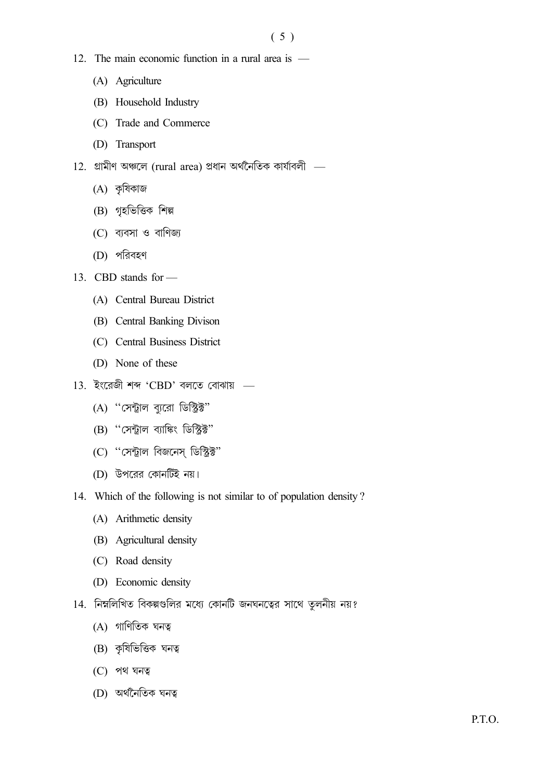- 12. The main economic function in a rural area is  $-$ 
	- (A) Agriculture
	- (B) Household Industry
	- (C) Trade and Commerce
	- (D) Transport
- $12.$  গ্রামীণ অঞ্চলে (rural area) প্রধান অর্থনৈতিক কার্যাবলী  $-$ 
	- $(A)$  কৃষিকাজ
	- (B) গৃহভিত্তিক শিল্প
	- $(C)$  ব্যবসা ও বাণিজ্য
	- (D) পরিবহণ
- 13. CBD stands for -
	- (A) Central Bureau District
	- (B) Central Banking Divison
	- (C) Central Business District
	- (D) None of these
- $13.$  ইংরেজী শব্দ 'CBD' বলতে বোঝায় -
	- (A) "সেন্ট্রাল ব্যরো ডিস্ট্রিক্ট"
	- (B) "সেন্ট্রাল ব্যাঙ্কিং ডিস্ট্রিক্ট"
	- (C) "সেন্ট্রাল বিজনেস ডিস্ট্রিক্ট"
	- (D) উপরের কোনটিই নয়।
- 14. Which of the following is not similar to of population density?
	- (A) Arithmetic density
	- (B) Agricultural density
	- (C) Road density
	- (D) Economic density
- 14. নিম্নলিখিত বিকল্পগুলির মধ্যে কোনটি জনঘনত্বের সাথে তুলনীয় নয়?
	- $(A)$  গাণিতিক ঘনত্ব
	- (B) কৃষিভিত্তিক ঘনত্ব
	- $(C)$  পথ ঘনত্ব
	- (D) অৰ্থনৈতিক ঘনত্ব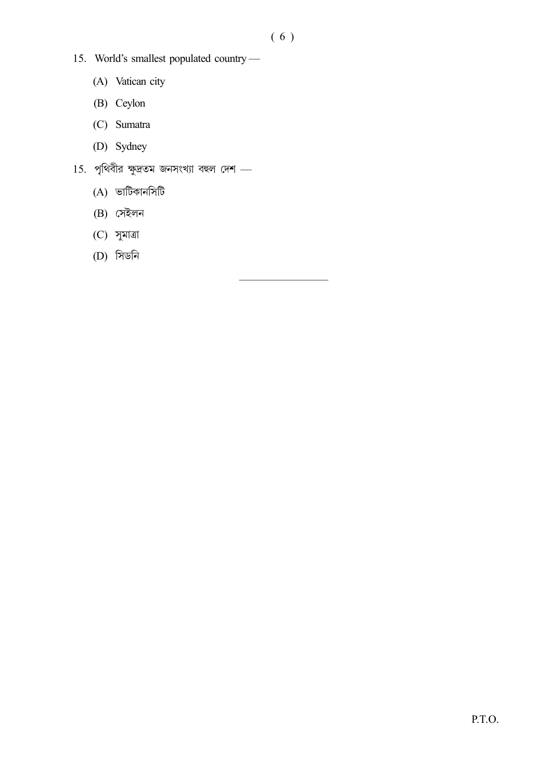- 15. World's smallest populated country-
	- (A) Vatican city
	- (B) Ceylon
	- (C) Sumatra
	- (D) Sydney
- $15.$  পৃথিবীর ক্ষুদ্রতম জনসংখ্যা বহুল দেশ -
	- (A) ভাটিকানসিটি
	- $(B)$  সেইলন
	- $(C)$  সুমাত্রা
	- (D) সিডনি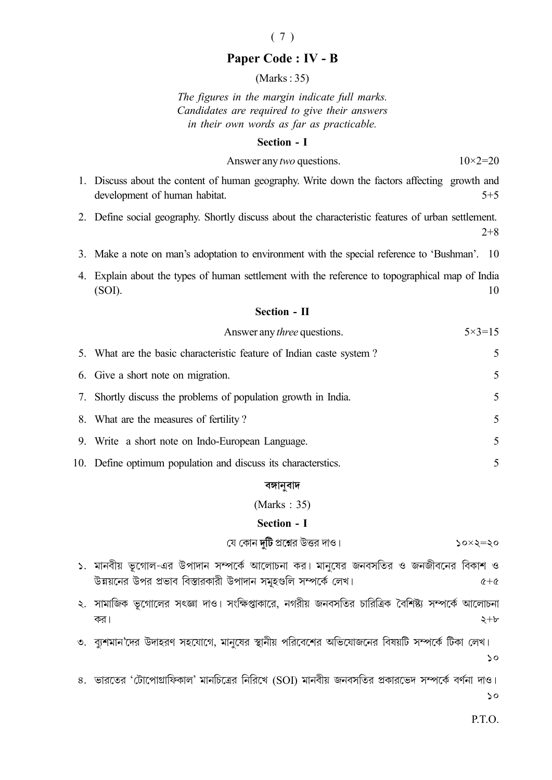## $(7)$

## Paper Code: IV - B

 $(Marks:35)$ 

The figures in the margin indicate full marks. Candidates are required to give their answers in their own words as far as practicable.

#### **Section - I**

| Answer any two questions. | $10 \times 2 = 20$ |
|---------------------------|--------------------|
|---------------------------|--------------------|

- 1. Discuss about the content of human geography. Write down the factors affecting growth and development of human habitat.  $5 + 5$
- 2. Define social geography. Shortly discuss about the characteristic features of urban settlement.  $2 + 8$
- 3. Make a note on man's adoptation to environment with the special reference to 'Bushman'. 10
- 4. Explain about the types of human settlement with the reference to topographical map of India  $(SOI).$ 10

#### **Section - II**

| Answer any <i>three</i> questions.                                   | $5 \times 3 = 15$        |
|----------------------------------------------------------------------|--------------------------|
| 5. What are the basic characteristic feature of Indian caste system? | 5                        |
| 6. Give a short note on migration.                                   | 5                        |
| 7. Shortly discuss the problems of population growth in India.       | 5                        |
| 8. What are the measures of fertility?                               | 5                        |
| 9. Write a short note on Indo-European Language.                     | $\overline{\mathcal{L}}$ |

10. Define optimum population and discuss its characterstics.

#### বঙ্গানুবাদ

#### (Marks:  $35$ )

#### Section - I

যে কোন **দটি** প্রশ্নের উত্তর দাও।  $50x5=50$ 

- ১. মানবীয় ভূগোল-এর উপাদান সম্পর্কে আলোচনা কর। মানষের জনবসতির ও জনজীবনের বিকাশ ও উন্নয়নের উপর প্রভাব বিস্তারকারী উপাদান সমুহগুলি সম্পর্কে লেখ।  $6+6$
- ২. সামাজিক ভূগোলের সৎজ্ঞা দাও। সংক্ষিপ্তাকারে, নগরীয় জনবসতির চারিত্রিক বৈশিষ্ট্য সম্পর্কে আলোচনা  $2 + b$ কর।
- ৩. ব্যুশমান দের উদাহরণ সহযোগে, মানুষের স্থানীয় পরিবেশের অভিযোজনের বিষয়টি সম্পর্কে টিকা লেখ।

৪. ভারতের 'টোপোগ্রাফিকাল' মানচিত্রের নিরিখে (SOI) মানবীয় জনবসতির প্রকারভেদ সম্পর্কে বর্ণনা দাও।  $\mathsf{S}$ 

P.T.O.

 $\mathsf{S}$ 

5